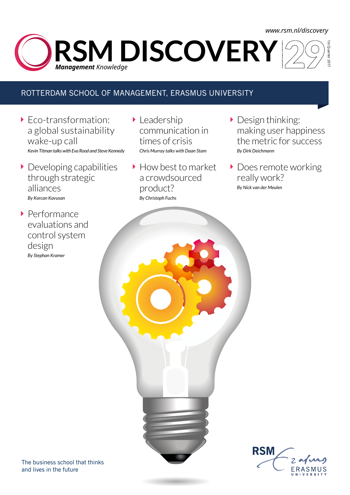### *www.rsm.nl/discovery*

1st Quarter 2017 **RSM DISCOVERY** *Management Knowledge* 

### ROTTERDAM SCHOOL OF MANAGEMENT, ERASMUS UNIVERSITY

- ▶ Eco-transformation: a global sustainability wake-up call *Kevin Titman talks with Eva Rood and Steve Kennedy*
- Developing capabilities through strategic alliances *By Korcan Kavusan*
- ▶ Performance evaluations and control system design *By Stephan Kramer*
- **Leadership** communication in times of crisis *Chris Murray talks with Daan Stam*
- How best to market a crowdsourced product? *By Christoph Fuchs*
- Design thinking: making user happiness the metric for success *By Dirk Deichmann*
- Does remote working really work? *By Nick van der Meulen*

**RSM**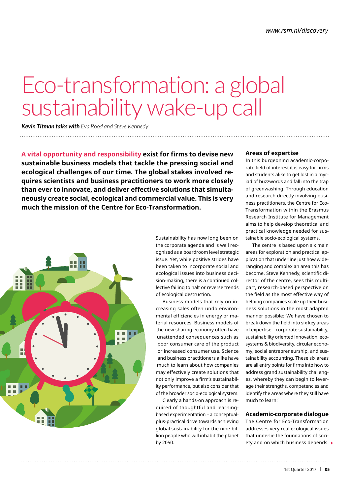# Eco-transformation: a global sustainability wake-up call

*Kevin Titman talks with Eva Rood and Steve Kennedy*

**A vital opportunity and responsibility exist for firms to devise new sustainable business models that tackle the pressing social and ecological challenges of our time. The global stakes involved requires scientists and business practitioners to work more closely than ever to innovate, and deliver effective solutions that simultaneously create social, ecological and commercial value. This is very much the mission of the Centre for Eco-Transformation.**



Sustainability has now long been on the corporate agenda and is well recognised as a boardroom level strategic issue. Yet, while positive strides have been taken to incorporate social and ecological issues into business decision-making, there is a continued collective failing to halt or reverse trends of ecological destruction.

Business models that rely on increasing sales often undo environmental efficiencies in energy or material resources. Business models of the new sharing economy often have unattended consequences such as poor consumer care of the product or increased consumer use. Science and business practitioners alike have much to learn about how companies may effectively create solutions that not only improve a firm's sustainability performance, but also consider that of the broader socio-ecological system.

Clearly a hands-on approach is required of thoughtful and learningbased experimentation – a conceptualplus-practical drive towards achieving global sustainability for the nine billion people who will inhabit the planet by 2050.

### **Areas of expertise**

In this burgeoning academic-corporate field of interest it is easy for firms and students alike to get lost in a myriad of buzzwords and fall into the trap of greenwashing. Through education and research directly involving business practitioners, the Centre for Eco-Transformation within the Erasmus Research Institute for Management aims to help develop theoretical and practical knowledge needed for sustainable socio-ecological systems.

The centre is based upon six main areas for exploration and practical application that underline just how wideranging and complex an area this has become. Steve Kennedy, scientific director of the centre, sees this multipart, research-based perspective on the field as the most effective way of helping companies scale up their business solutions in the most adapted manner possible: 'We have chosen to break down the field into six key areas of expertise – corporate sustainability, sustainability oriented innovation, ecosystems & biodiversity, circular economy, social entrepreneurship, and sustainability accounting. These six areas are all entry points for firms into how to address grand sustainability challenges, whereby they can begin to leverage their strengths, competencies and identify the areas where they still have much to learn.'

### **Academic-corporate dialogue**

The Centre for Eco-Transformation addresses very real ecological issues that underlie the foundations of society and on which business depends.  $\blacktriangleright$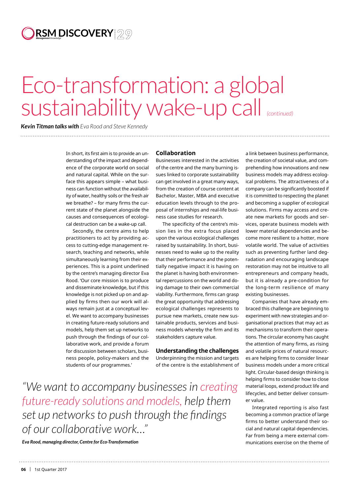## **RSM DISCOVERY** *Management Knowledge*

## Eco-transformation: a global sustainability wake-up call *(continued)*

*Kevin Titman talks with Eva Rood and Steve Kennedy* 

> In short, its first aim is to provide an understanding of the impact and dependence of the corporate world on social and natural capital. While on the surface this appears simple – what business can function without the availability of water, healthy soils or the fresh air we breathe? – for many firms the current state of the planet alongside the causes and consequences of ecological destruction can be a wake-up call.

> Secondly, the centre aims to help practitioners to act by providing access to cutting-edge management research, teaching and networks, while simultaneously learning from their experiences. This is a point underlined by the centre's managing director Eva Rood. 'Our core mission is to produce and disseminate knowledge, but if this knowledge is not picked up on and applied by firms then our work will always remain just at a conceptual level. We want to accompany businesses in creating future-ready solutions and models, help them set up networks to push through the findings of our collaborative work, and provide a forum for discussion between scholars, business people, policy-makers and the students of our programmes.'

#### **Collaboration**

Businesses interested in the activities of the centre and the many burning issues linked to corporate sustainability can get involved in a great many ways, from the creation of course content at Bachelor, Master, MBA and executive education levels through to the proposal of internships and real-life business case studies for research.

The specificity of the centre's mission lies in the extra focus placed upon the various ecological challenges raised by sustainability. In short, businesses need to wake up to the reality that their performance and the potentially negative impact it is having on the planet is having both environmental repercussions on the world and doing damage to their own commercial viability. Furthermore, firms can grasp the great opportunity that addressing ecological challenges represents to pursue new markets, create new sustainable products, services and business models whereby the firm and its stakeholders capture value.

**Understanding the challenges** Underpinning the mission and targets of the centre is the establishment of

*"We want to accompany businesses in creating future-ready solutions and models, help them set up networks to push through the findings of our collaborative work…"* 

*Eva Rood, managing director, Centre for Eco-Transformation*

a link between business performance, the creation of societal value, and comprehending how innovations and new business models may address ecological problems. The attractiveness of a company can be significantly boosted if it is committed to respecting the planet and becoming a supplier of ecological solutions. Firms may access and create new markets for goods and services, operate business models with lower material dependencies and become more resilient to a hotter, more volatile world. The value of activities such as preventing further land degradation and encouraging landscape restoration may not be intuitive to all entrepreneurs and company heads, but it is already a pre-condition for the long-term resilience of many existing businesses.

Companies that have already embraced this challenge are beginning to experiment with new strategies and organisational practices that may act as mechanisms to transform their operations. The circular economy has caught the attention of many firms, as rising and volatile prices of natural resources are helping firms to consider linear business models under a more critical light. Circular-based design thinking is helping firms to consider how to close material loops, extend product life and lifecycles, and better deliver consumer value.

Integrated reporting is also fast becoming a common practice of large firms to better understand their social and natural capital dependencies. Far from being a mere external communications exercise on the theme of